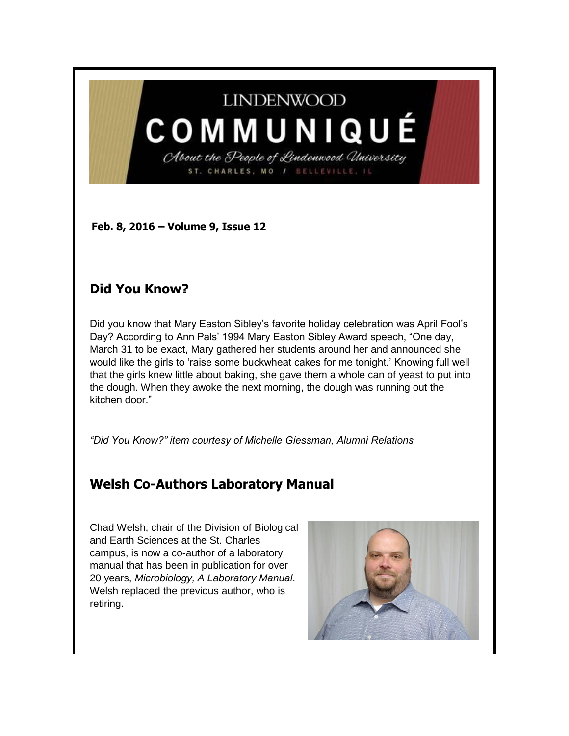# **LINDENWOOD**

COMMUNIQUÉ About the People of Lindenwood University

ST. CHARLES, MO / BELLEVILLE.

**Feb. 8, 2016 – Volume 9, Issue 12** 

### **Did You Know?**

Did you know that Mary Easton Sibley's favorite holiday celebration was April Fool's Day? According to Ann Pals' 1994 Mary Easton Sibley Award speech, "One day, March 31 to be exact, Mary gathered her students around her and announced she would like the girls to 'raise some buckwheat cakes for me tonight.' Knowing full well that the girls knew little about baking, she gave them a whole can of yeast to put into the dough. When they awoke the next morning, the dough was running out the kitchen door."

*"Did You Know?" item courtesy of Michelle Giessman, Alumni Relations*

### **Welsh Co-Authors Laboratory Manual**

Chad Welsh, chair of the Division of Biological and Earth Sciences at the St. Charles campus, is now a co-author of a laboratory manual that has been in publication for over 20 years, *Microbiology, A Laboratory Manual*. Welsh replaced the previous author, who is retiring.

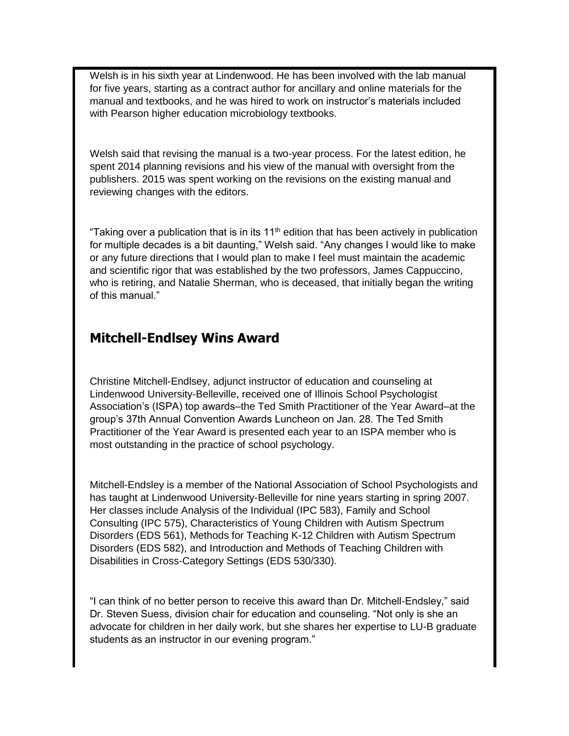Welsh is in his sixth year at Lindenwood. He has been involved with the lab manual for five years, starting as a contract author for ancillary and online materials for the manual and textbooks, and he was hired to work on instructor's materials included with Pearson higher education microbiology textbooks.

Welsh said that revising the manual is a two-year process. For the latest edition, he spent 2014 planning revisions and his view of the manual with oversight from the publishers. 2015 was spent working on the revisions on the existing manual and reviewing changes with the editors.

"Taking over a publication that is in its  $11<sup>th</sup>$  edition that has been actively in publication for multiple decades is a bit daunting," Welsh said. "Any changes I would like to make or any future directions that I would plan to make I feel must maintain the academic and scientific rigor that was established by the two professors, James Cappuccino, who is retiring, and Natalie Sherman, who is deceased, that initially began the writing of this manual."

#### **Mitchell-Endlsey Wins Award**

Christine Mitchell-Endlsey, adjunct instructor of education and counseling at Lindenwood University-Belleville, received one of Illinois School Psychologist Association's (ISPA) top awards–the Ted Smith Practitioner of the Year Award–at the group's 37th Annual Convention Awards Luncheon on Jan. 28. The Ted Smith Practitioner of the Year Award is presented each year to an ISPA member who is most outstanding in the practice of school psychology.

Mitchell-Endsley is a member of the National Association of School Psychologists and has taught at Lindenwood University-Belleville for nine years starting in spring 2007. Her classes include Analysis of the Individual (IPC 583), Family and School Consulting (IPC 575), Characteristics of Young Children with Autism Spectrum Disorders (EDS 561), Methods for Teaching K-12 Children with Autism Spectrum Disorders (EDS 582), and Introduction and Methods of Teaching Children with Disabilities in Cross-Category Settings (EDS 530/330).

"I can think of no better person to receive this award than Dr. Mitchell-Endsley," said Dr. Steven Suess, division chair for education and counseling. "Not only is she an advocate for children in her daily work, but she shares her expertise to LU-B graduate students as an instructor in our evening program."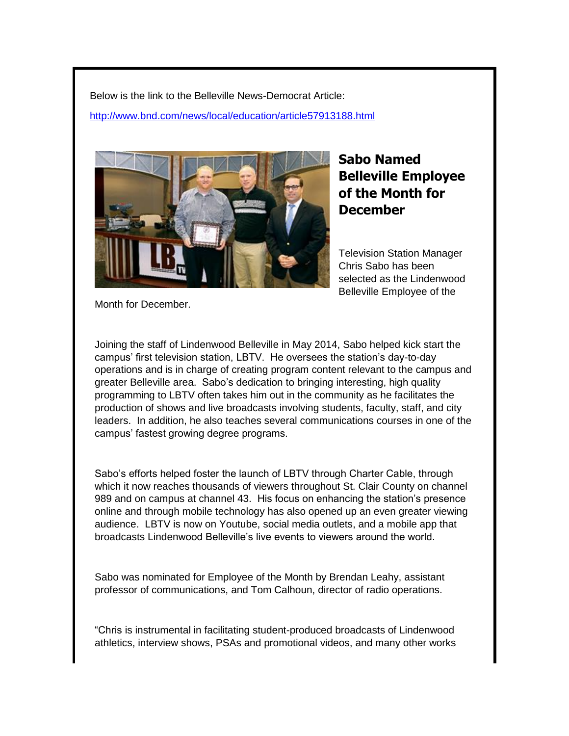Below is the link to the Belleville News-Democrat Article:

<http://www.bnd.com/news/local/education/article57913188.html>



## **Sabo Named Belleville Employee of the Month for December**

Television Station Manager Chris Sabo has been selected as the Lindenwood Belleville Employee of the

Month for December.

Joining the staff of Lindenwood Belleville in May 2014, Sabo helped kick start the campus' first television station, LBTV. He oversees the station's day-to-day operations and is in charge of creating program content relevant to the campus and greater Belleville area. Sabo's dedication to bringing interesting, high quality programming to LBTV often takes him out in the community as he facilitates the production of shows and live broadcasts involving students, faculty, staff, and city leaders. In addition, he also teaches several communications courses in one of the campus' fastest growing degree programs.

Sabo's efforts helped foster the launch of LBTV through Charter Cable, through which it now reaches thousands of viewers throughout St. Clair County on channel 989 and on campus at channel 43. His focus on enhancing the station's presence online and through mobile technology has also opened up an even greater viewing audience. LBTV is now on Youtube, social media outlets, and a mobile app that broadcasts Lindenwood Belleville's live events to viewers around the world.

Sabo was nominated for Employee of the Month by Brendan Leahy, assistant professor of communications, and Tom Calhoun, director of radio operations.

"Chris is instrumental in facilitating student-produced broadcasts of Lindenwood athletics, interview shows, PSAs and promotional videos, and many other works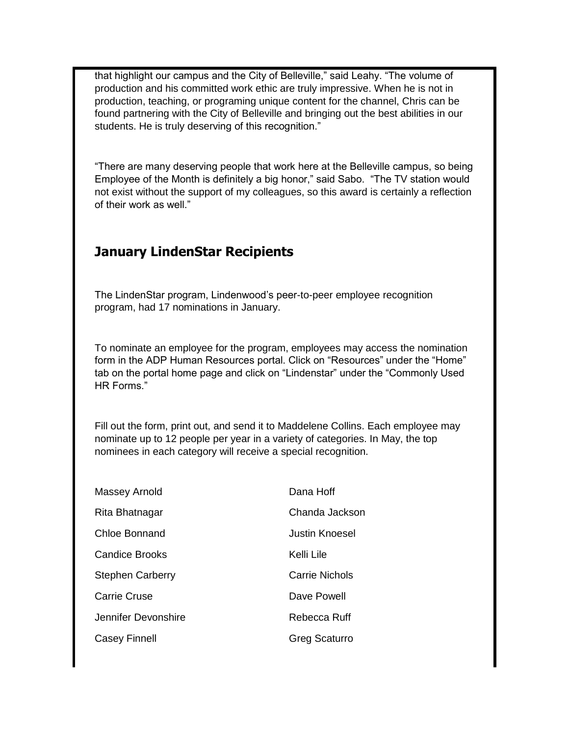that highlight our campus and the City of Belleville," said Leahy. "The volume of production and his committed work ethic are truly impressive. When he is not in production, teaching, or programing unique content for the channel, Chris can be found partnering with the City of Belleville and bringing out the best abilities in our students. He is truly deserving of this recognition."

"There are many deserving people that work here at the Belleville campus, so being Employee of the Month is definitely a big honor," said Sabo. "The TV station would not exist without the support of my colleagues, so this award is certainly a reflection of their work as well."

#### **January LindenStar Recipients**

The LindenStar program, Lindenwood's peer-to-peer employee recognition program, had 17 nominations in January.

To nominate an employee for the program, employees may access the nomination form in the ADP Human Resources portal. Click on "Resources" under the "Home" tab on the portal home page and click on "Lindenstar" under the "Commonly Used HR Forms."

Fill out the form, print out, and send it to Maddelene Collins. Each employee may nominate up to 12 people per year in a variety of categories. In May, the top nominees in each category will receive a special recognition.

| Massey Arnold           | Dana Hoff      |
|-------------------------|----------------|
| Rita Bhatnagar          | Chanda Jackson |
| Chloe Bonnand           | Justin Knoesel |
| <b>Candice Brooks</b>   | Kelli Lile     |
| <b>Stephen Carberry</b> | Carrie Nichols |
| <b>Carrie Cruse</b>     | Dave Powell    |
| Jennifer Devonshire     | Rebecca Ruff   |
| <b>Casey Finnell</b>    | Greg Scaturro  |